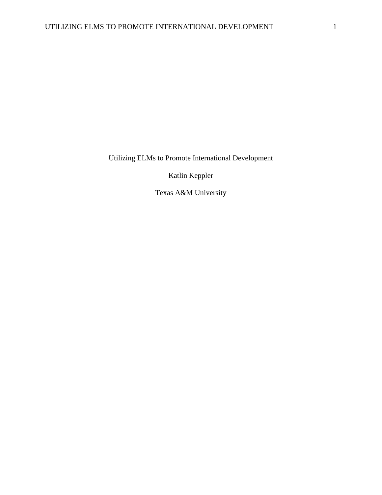Utilizing ELMs to Promote International Development

Katlin Keppler

Texas A&M University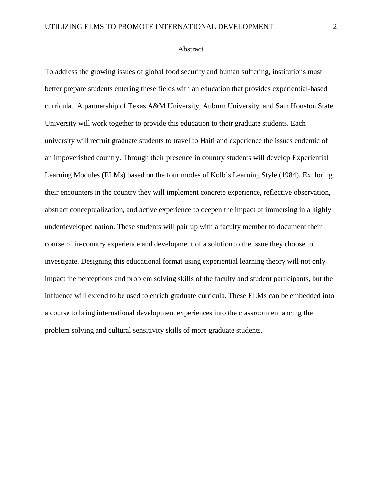To address the growing issues of global food security and human suffering, institutions must better prepare students entering these fields with an education that provides experiential-based curricula. A partnership of Texas A&M University, Auburn University, and Sam Houston State University will work together to provide this education to their graduate students. Each university will recruit graduate students to travel to Haiti and experience the issues endemic of an impoverished country. Through their presence in country students will develop Experiential Learning Modules (ELMs) based on the four modes of Kolb's Learning Style (1984). Exploring their encounters in the country they will implement concrete experience, reflective observation, abstract conceptualization, and active experience to deepen the impact of immersing in a highly underdeveloped nation. These students will pair up with a faculty member to document their course of in-country experience and development of a solution to the issue they choose to investigate. Designing this educational format using experiential learning theory will not only impact the perceptions and problem solving skills of the faculty and student participants, but the influence will extend to be used to enrich graduate curricula. These ELMs can be embedded into a course to bring international development experiences into the classroom enhancing the problem solving and cultural sensitivity skills of more graduate students.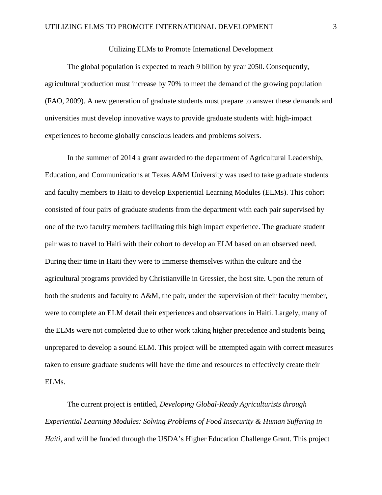## Utilizing ELMs to Promote International Development

The global population is expected to reach 9 billion by year 2050. Consequently, agricultural production must increase by 70% to meet the demand of the growing population (FAO, 2009). A new generation of graduate students must prepare to answer these demands and universities must develop innovative ways to provide graduate students with high-impact experiences to become globally conscious leaders and problems solvers.

In the summer of 2014 a grant awarded to the department of Agricultural Leadership, Education, and Communications at Texas A&M University was used to take graduate students and faculty members to Haiti to develop Experiential Learning Modules (ELMs). This cohort consisted of four pairs of graduate students from the department with each pair supervised by one of the two faculty members facilitating this high impact experience. The graduate student pair was to travel to Haiti with their cohort to develop an ELM based on an observed need. During their time in Haiti they were to immerse themselves within the culture and the agricultural programs provided by Christianville in Gressier, the host site. Upon the return of both the students and faculty to A&M, the pair, under the supervision of their faculty member, were to complete an ELM detail their experiences and observations in Haiti. Largely, many of the ELMs were not completed due to other work taking higher precedence and students being unprepared to develop a sound ELM. This project will be attempted again with correct measures taken to ensure graduate students will have the time and resources to effectively create their ELMs.

The current project is entitled, *Developing Global-Ready Agriculturists through Experiential Learning Modules: Solving Problems of Food Insecurity & Human Suffering in Haiti,* and will be funded through the USDA's Higher Education Challenge Grant. This project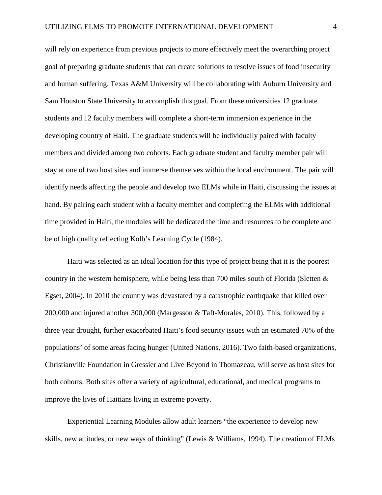will rely on experience from previous projects to more effectively meet the overarching project goal of preparing graduate students that can create solutions to resolve issues of food insecurity and human suffering. Texas A&M University will be collaborating with Auburn University and Sam Houston State University to accomplish this goal. From these universities 12 graduate students and 12 faculty members will complete a short-term immersion experience in the developing country of Haiti. The graduate students will be individually paired with faculty members and divided among two cohorts. Each graduate student and faculty member pair will stay at one of two host sites and immerse themselves within the local environment. The pair will identify needs affecting the people and develop two ELMs while in Haiti, discussing the issues at hand. By pairing each student with a faculty member and completing the ELMs with additional time provided in Haiti, the modules will be dedicated the time and resources to be complete and be of high quality reflecting Kolb's Learning Cycle (1984).

Haiti was selected as an ideal location for this type of project being that it is the poorest country in the western hemisphere, while being less than 700 miles south of Florida (Sletten & Egset, 2004). In 2010 the country was devastated by a catastrophic earthquake that killed over 200,000 and injured another 300,000 (Margesson & Taft-Morales, 2010). This, followed by a three year drought, further exacerbated Haiti's food security issues with an estimated 70% of the populations' of some areas facing hunger (United Nations, 2016). Two faith-based organizations, Christianville Foundation in Gressier and Live Beyond in Thomazeau, will serve as host sites for both cohorts. Both sites offer a variety of agricultural, educational, and medical programs to improve the lives of Haitians living in extreme poverty.

Experiential Learning Modules allow adult learners "the experience to develop new skills, new attitudes, or new ways of thinking" (Lewis & Williams, 1994). The creation of ELMs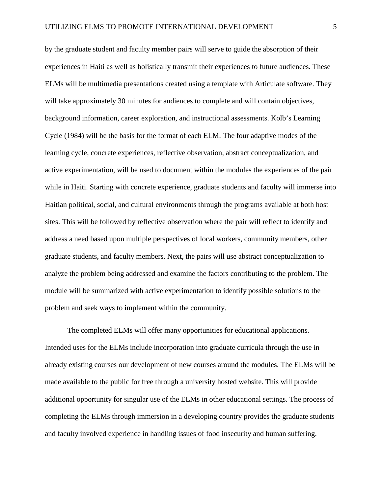by the graduate student and faculty member pairs will serve to guide the absorption of their experiences in Haiti as well as holistically transmit their experiences to future audiences. These ELMs will be multimedia presentations created using a template with Articulate software. They will take approximately 30 minutes for audiences to complete and will contain objectives, background information, career exploration, and instructional assessments. Kolb's Learning Cycle (1984) will be the basis for the format of each ELM. The four adaptive modes of the learning cycle, concrete experiences, reflective observation, abstract conceptualization, and active experimentation, will be used to document within the modules the experiences of the pair while in Haiti. Starting with concrete experience, graduate students and faculty will immerse into Haitian political, social, and cultural environments through the programs available at both host sites. This will be followed by reflective observation where the pair will reflect to identify and address a need based upon multiple perspectives of local workers, community members, other graduate students, and faculty members. Next, the pairs will use abstract conceptualization to analyze the problem being addressed and examine the factors contributing to the problem. The module will be summarized with active experimentation to identify possible solutions to the problem and seek ways to implement within the community.

The completed ELMs will offer many opportunities for educational applications. Intended uses for the ELMs include incorporation into graduate curricula through the use in already existing courses our development of new courses around the modules. The ELMs will be made available to the public for free through a university hosted website. This will provide additional opportunity for singular use of the ELMs in other educational settings. The process of completing the ELMs through immersion in a developing country provides the graduate students and faculty involved experience in handling issues of food insecurity and human suffering.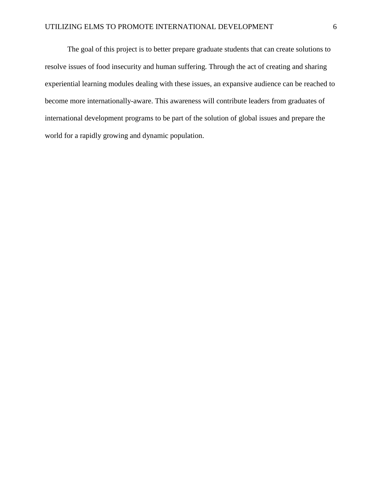The goal of this project is to better prepare graduate students that can create solutions to resolve issues of food insecurity and human suffering. Through the act of creating and sharing experiential learning modules dealing with these issues, an expansive audience can be reached to become more internationally-aware. This awareness will contribute leaders from graduates of international development programs to be part of the solution of global issues and prepare the world for a rapidly growing and dynamic population.